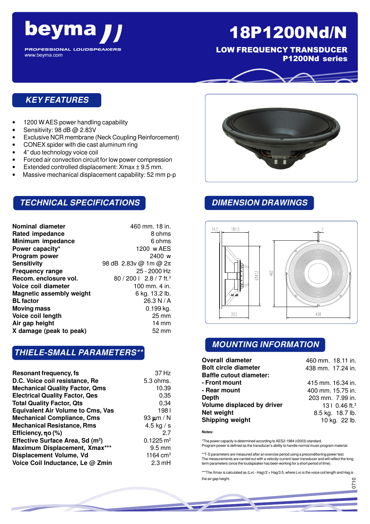

**PROFESSIONAL LOUDSPEAKERS** www.beyma.com

# 18P1200Nd/N

LOW FREQUENCY TRANSDUCER P1200Nd series

## **KEY FEATURES**

- 1200 W AES power handling capability
- Sensitivity: 98 dB @ 2.83V
- Exclusive NCR membrane (Neck Coupling Reinforcement)
- CONEX spider with die cast aluminum ring
- 4" duo technology voice coil
- Forced air convection circuit for low power compression
- Extended controlled displacement:  $X$ max  $\pm$  9.5 mm.
- Massive mechanical displacement capability: 52 mm p-p

## **TECHNICAL SPECIFICATIONS**

| 460 mm. 18 in.                      |
|-------------------------------------|
| 8 ohms                              |
| 6 ohms                              |
| 1200 w AES                          |
| 2400 w                              |
| 98 dB 2.83v @ 1m @ 2π               |
| 25 - 2000 Hz                        |
| 80 / 200   2.8 / 7 ft. <sup>3</sup> |
| 100 mm. 4 in.                       |
| 6 kg. 13.2 lb.                      |
| 26.3 N/A                            |
| $0.199$ kg.                         |
| $25 \,\mathrm{mm}$                  |
| $14 \text{ mm}$                     |
| 52 mm                               |
|                                     |

## **THIELE-SMALL PARAMETERS\*\***

| Resonant frequency, fs                       | 37 Hz                |
|----------------------------------------------|----------------------|
| D.C. Voice coil resistance, Re               | 5.3 ohms.            |
| <b>Mechanical Quality Factor, Qms</b>        | 10.39                |
| <b>Electrical Quality Factor, Qes</b>        | 0.35                 |
| <b>Total Quality Factor, Qts</b>             | 0.34                 |
| <b>Equivalent Air Volume to Cms, Vas</b>     | 1981                 |
| <b>Mechanical Compliance, Cms</b>            | 93 $\mu$ m / N       |
| <b>Mechanical Resistance, Rms</b>            | 4.5 kg $/ s$         |
| Efficiency, no (%)                           | 27                   |
| Effective Surface Area, Sd (m <sup>2</sup> ) | $0.1225 \text{ m}^2$ |
| Maximum Displacement, Xmax***                | $9.5 \text{ mm}$     |
| Displacement Volume, Vd                      | 1164 $cm3$           |
| Voice Coil Inductance, Le @ Zmin             | $2.3 \text{ mH}$     |



## **DIMENSION DRAWINGS**



### **MOUNTING INFORMATION**

| <b>Overall diameter</b>        | 460 mm. 18.11 in.            |
|--------------------------------|------------------------------|
| <b>Bolt circle diameter</b>    | 438 mm. 17.24 in.            |
| <b>Baffle cutout diameter:</b> |                              |
| - Front mount                  | 415 mm. 16.34 in.            |
| - Rear mount                   | 400 mm. 15.75 in.            |
| Depth                          | 203 mm. 7.99 in.             |
| Volume displaced by driver     | 13   $0.46$ ft. <sup>3</sup> |
| Net weight                     | 8.5 kg. 18.7 lb.             |
| Shipping weight                | 10 kg. 22 lb.                |

**Notes:**

\*The power capacity is determined according to AES2-1984 (r2003) standard. Program power is defined as the transducer's ability to handle normal music program material.

\*\*T-S parameters are measured after an exercise period using a preconditioning power test. The measurements are carried out with a velocity-current laser transducer and will reflect the long term parameters (once the loudspeaker has been working for a short period of time).

\*\*\*The Xmax is calculated as (Lvc - Hag)/2 + Hag/3.5, where Lvc is the voice coil length and Hag is the air gap height.

056

0710